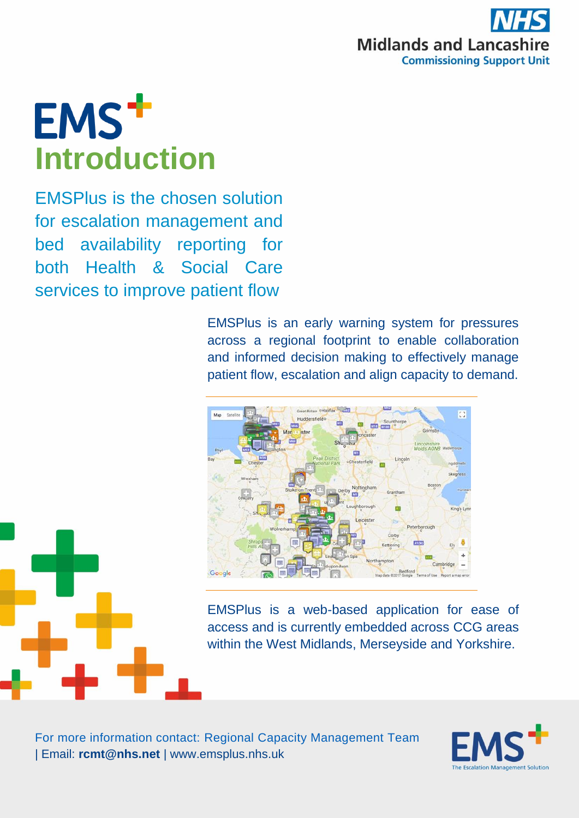

## **EMS<sup>+</sup> Introduction**

EMSPlus is the chosen solution for escalation management and bed availability reporting for both Health & Social Care services to improve patient flow

> EMSPlus is an early warning system for pressures across a regional footprint to enable collaboration and informed decision making to effectively manage patient flow, escalation and align capacity to demand.



EMSPlus is a web-based application for ease of access and is currently embedded across CCG areas within the West Midlands, Merseyside and Yorkshire.



For more information contact: Regional Capacity Management Team | Email: **rcmt@nhs.net** | www.emsplus.nhs.uk